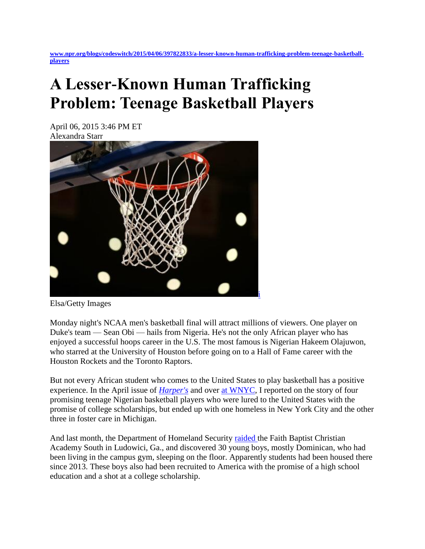**[www.npr.org/blogs/codeswitch/2015/04/06/397822833/a-lesser-known-human-trafficking-problem-teenage-basketball](http://www.npr.org/blogs/codeswitch/2015/04/06/397822833/a-lesser-known-human-trafficking-problem-teenage-basketball-players)[players](http://www.npr.org/blogs/codeswitch/2015/04/06/397822833/a-lesser-known-human-trafficking-problem-teenage-basketball-players)**

## **A Lesser-Known Human Trafficking Problem: Teenage Basketball Players**

April 06, 2015 3:46 PM ET Alexandra Starr



Elsa/Getty Images

Monday night's NCAA men's basketball final will attract millions of viewers. One player on Duke's team — Sean Obi — hails from Nigeria. He's not the only African player who has enjoyed a successful hoops career in the U.S. The most famous is Nigerian Hakeem Olajuwon, who starred at the University of Houston before going on to a Hall of Fame career with the Houston Rockets and the Toronto Raptors.

But not every African student who comes to the United States to play basketball has a positive experience. In the April issue of *[Harper's](http://harpers.org/author/alexandrastarr/)* and over [at WNYC,](http://www.wnyc.org/story/basketball-trafficker/) I reported on the story of four promising teenage Nigerian basketball players who were lured to the United States with the promise of college scholarships, but ended up with one homeless in New York City and the other three in foster care in Michigan.

And last month, the Department of Homeland Security [raided t](http://www.wfla.com/story/28623989/lake-wales-high-investigation-prompts-federal-raid-at-ga-school)he Faith Baptist Christian Academy South in Ludowici, Ga., and discovered 30 young boys, mostly Dominican, who had been living in the campus gym, sleeping on the floor. Apparently students had been housed there since 2013. These boys also had been recruited to America with the promise of a high school education and a shot at a college scholarship.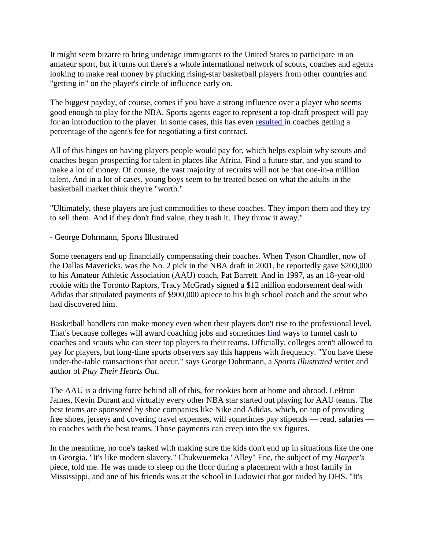It might seem bizarre to bring underage immigrants to the United States to participate in an amateur sport, but it turns out there's a whole international network of scouts, coaches and agents looking to make real money by plucking rising-star basketball players from other countries and "getting in" on the player's circle of influence early on.

The biggest payday, of course, comes if you have a strong influence over a player who seems good enough to play for the NBA. Sports agents eager to represent a top-draft prospect will pay for an introduction to the player. In some cases, this has even [resulted i](http://sports.yahoo.com/ncaa/basketball/news?slug=ys-agents031109)n coaches getting a percentage of the agent's fee for negotiating a first contract.

All of this hinges on having players people would pay for, which helps explain why scouts and coaches began prospecting for talent in places like Africa. Find a future star, and you stand to make a lot of money. Of course, the vast majority of recruits will not be that one-in-a million talent. And in a lot of cases, young boys seem to be treated based on what the adults in the basketball market think they're "worth."

"Ultimately, these players are just commodities to these coaches. They import them and they try to sell them. And if they don't find value, they trash it. They throw it away."

- George Dohrmann, Sports Illustrated

Some teenagers end up financially compensating their coaches. When Tyson Chandler, now of the Dallas Mavericks, was the No. 2 pick in the NBA draft in 2001, he reportedly gave \$200,000 to his Amateur Athletic Association (AAU) coach, Pat Barrett. And in 1997, as an 18-year-old rookie with the Toronto Raptors, Tracy McGrady signed a \$12 million endorsement deal with Adidas that stipulated payments of \$900,000 apiece to his high school coach and the scout who had discovered him.

Basketball handlers can make money even when their players don't rise to the professional level. That's because colleges will award coaching jobs and sometimes [find](http://www.indystar.com/story/sports/college/2014/10/11/prep-school-aau-coaches-making-easier-jump-college-assistant-jobs/17138445/) ways to funnel cash to coaches and scouts who can steer top players to their teams. Officially, colleges aren't allowed to pay for players, but long-time sports observers say this happens with frequency. "You have these under-the-table transactions that occur," says George Dohrmann, a *Sports Illustrated* writer and author of *Play Their Hearts Out*.

The AAU is a driving force behind all of this, for rookies born at home and abroad. LeBron James, Kevin Durant and virtually every other NBA star started out playing for AAU teams. The best teams are sponsored by shoe companies like Nike and Adidas, which, on top of providing free shoes, jerseys and covering travel expenses, will sometimes pay stipends — read, salaries to coaches with the best teams. Those payments can creep into the six figures.

In the meantime, no one's tasked with making sure the kids don't end up in situations like the one in Georgia. "It's like modern slavery," Chukwuemeka "Alley" Ene, the subject of my *Harper's* piece, told me. He was made to sleep on the floor during a placement with a host family in Mississippi, and one of his friends was at the school in Ludowici that got raided by DHS. "It's